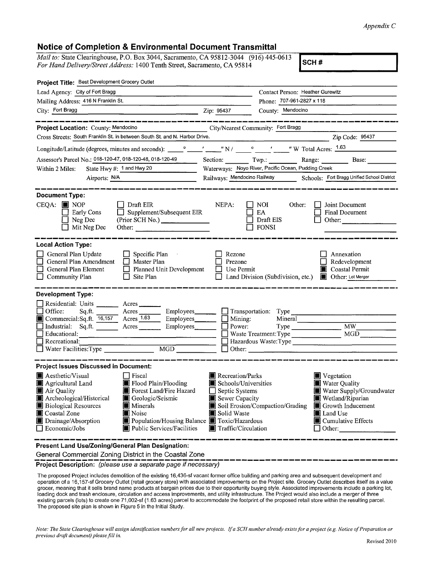## *Appendix C*

**SCH#** 

## **Notice of Completion & Environmental Document Transmittal**

*Mail to:* State Clearinghouse, P.O. Box 3044, Sacramento, CA 95812-3044 (916) 445-0613 *For Hand Delivery/Street Address:* 1400 Tenth Street, Sacramento, CA 95814

| Project Title: Best Development Grocery Outlet                                                                                                                                                                                                                                                                                                                                                                                                                                                          |                                                                                                                                                                                                                                                                                                                                                                                     |
|---------------------------------------------------------------------------------------------------------------------------------------------------------------------------------------------------------------------------------------------------------------------------------------------------------------------------------------------------------------------------------------------------------------------------------------------------------------------------------------------------------|-------------------------------------------------------------------------------------------------------------------------------------------------------------------------------------------------------------------------------------------------------------------------------------------------------------------------------------------------------------------------------------|
| Lead Agency: City of Fort Bragg                                                                                                                                                                                                                                                                                                                                                                                                                                                                         | Contact Person: Heather Gurewitz                                                                                                                                                                                                                                                                                                                                                    |
| Mailing Address: 416 N Franklin St.                                                                                                                                                                                                                                                                                                                                                                                                                                                                     | Phone: 707-961-2827 x 118                                                                                                                                                                                                                                                                                                                                                           |
| City: Fort Bragg Zip: 95437                                                                                                                                                                                                                                                                                                                                                                                                                                                                             | County: Mendocino                                                                                                                                                                                                                                                                                                                                                                   |
|                                                                                                                                                                                                                                                                                                                                                                                                                                                                                                         | ------------------------                                                                                                                                                                                                                                                                                                                                                            |
| Project Location: County: Mendocino                                                                                                                                                                                                                                                                                                                                                                                                                                                                     | City/Nearest Community: Fort Bragg                                                                                                                                                                                                                                                                                                                                                  |
| Cross Streets: South Franklin St. in between South St. and N. Harbor Drive.                                                                                                                                                                                                                                                                                                                                                                                                                             | Zip Code: 95437                                                                                                                                                                                                                                                                                                                                                                     |
|                                                                                                                                                                                                                                                                                                                                                                                                                                                                                                         |                                                                                                                                                                                                                                                                                                                                                                                     |
| Assessor's Parcel No.: 018-120-47, 018-120-48, 018-120-49                                                                                                                                                                                                                                                                                                                                                                                                                                               | Range: Base:<br>Section: $\begin{array}{c} \n\text{Two.} \\ \end{array}$                                                                                                                                                                                                                                                                                                            |
| State Hwy #: 1 and Hwy 20<br>Within 2 Miles:                                                                                                                                                                                                                                                                                                                                                                                                                                                            | Waterways: Noyo River, Pacific Ocean, Pudding Creek                                                                                                                                                                                                                                                                                                                                 |
| Airports: N/A                                                                                                                                                                                                                                                                                                                                                                                                                                                                                           | Railways: Mendocino Railway Schools: Fort Bragg Unified School District                                                                                                                                                                                                                                                                                                             |
|                                                                                                                                                                                                                                                                                                                                                                                                                                                                                                         |                                                                                                                                                                                                                                                                                                                                                                                     |
| <b>Document Type:</b><br>$CEQA:$ MOP<br>$\Box$ Draft EIR<br>$\Box$ Supplement/Subsequent EIR<br>Early Cons<br>$\Box$ Neg Dec<br>(Prior SCH No.)<br>$\Box$ Mit Neg Dec<br>Other:                                                                                                                                                                                                                                                                                                                         | NEPA:<br>NOI DI<br>Other:<br>Joint Document<br>$\mathbf{1}$<br>$\mathsf{L}$<br>EA<br><b>Final Document</b><br>$\Box$ Draft EIS<br>Other:<br>$\Box$ FONSI                                                                                                                                                                                                                            |
| <b>Local Action Type:</b><br>$\Box$ General Plan Update<br>$\Box$ Specific Plan<br>General Plan Amendment   Master Plan<br><b>General Plan Element</b><br>Planned Unit Development<br>Community Plan<br>$\Box$ Site Plan                                                                                                                                                                                                                                                                                | Rezone<br>Annexation<br>Prezone<br>Redevelopment<br>Coastal Permit<br>$\Box$ Use Permit<br>Land Division (Subdivision, etc.) <b>I</b> Other: Lot Merger                                                                                                                                                                                                                             |
| <b>Development Type:</b>                                                                                                                                                                                                                                                                                                                                                                                                                                                                                |                                                                                                                                                                                                                                                                                                                                                                                     |
| Residential: Units _________ Acres ______<br>Office:<br>$Sqnft.$ Acres<br>Commercial:Sq.ft. $\overline{16,157}$ Acres $\overline{1.63}$ Employees $\Box$ Mining:<br>Industrial: Sq.ft. _______ Acres ________ Employees_______<br>Educational:<br><u>and and control of the second control of the second control of the second control of the second control of the second control of the second control of the second control of the second control of the second control of the </u><br>Recreational: | Employees Transportation: Type<br>Mineral<br>$\Box$ Power:<br>Hazardous Waste: Type<br>$\Box$ Other: $\Box$                                                                                                                                                                                                                                                                         |
| <b>Project Issues Discussed in Document:</b>                                                                                                                                                                                                                                                                                                                                                                                                                                                            |                                                                                                                                                                                                                                                                                                                                                                                     |
| <b>A</b> esthetic/Visual<br>  Fiscal<br>Agricultural Land<br>Flood Plain/Flooding<br>Air Quality<br>Forest Land/Fire Hazard<br>Archeological/Historical <b>C</b> Geologic/Seismic<br><b>Biological Resources</b><br>   Minerals<br>Noise<br>■ Coastal Zone<br>Drainage/Absorption<br>$\Box$ Economic/Jobs<br>Public Services/Facilities                                                                                                                                                                 | <b>Necreation/Parks</b><br>■ Vegetation<br>Water Quality<br>Schools/Universities<br>$\Box$ Septic Systems<br>Water Supply/Groundwater<br>Sewer Capacity<br>Wetland/Riparian<br>Soil Erosion/Compaction/Grading<br><b>S</b> Growth Inducement<br>Solid Waste<br>Land Use<br>Population/Housing Balance Toxic/Hazardous<br>Cumulative Effects<br>Traffic/Circulation<br>$\Box$ Other: |
| Present Land Use/Zoning/General Plan Designation:<br>General Commercial Zoning District in the Coastal Zone                                                                                                                                                                                                                                                                                                                                                                                             |                                                                                                                                                                                                                                                                                                                                                                                     |

Project Description: (please use a separate page if necessary)

The proposed Project includes demolition of the existing 16,436-sfvacant former office building and parking area and subsequent development and operation of a 16, 157-sf Grocery Outlet (retail grocery store) with associated improvements on the Project site. Grocery Outlet describes itself as a value grocer, meaning that it sells brand name products at bargain prices due to their opportunity buying style. Associated improvements include a parking lot, loading dock and trash enclosure, circulation and access improvements, and utility infrastructure. The Project would also include a merger of three existing parcels {lots) to create one 71,002-sf (1.63 acres) parcel to accommodate the footprint of the proposed retail store within the resulting parcel. The proposed site plan is shown in Figure 5 in the Initial Study.

*Note: The State Clearinghouse will assign identification numbers for all new projects. ff a SCII number already exists for a project (e.g. Notice of Preparation or previous draft document) please fill in.*